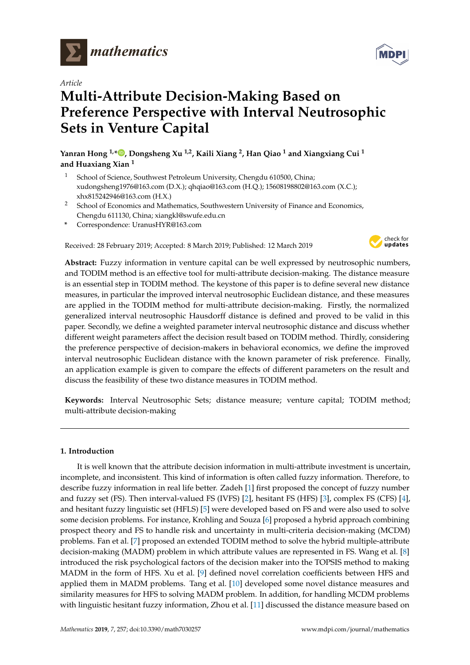

*Article*

# **Multi-Attribute Decision-Making Based on Preference Perspective with Interval Neutrosophic Sets in Venture Capital**

**Yanran Hong 1,[\\*](https://orcid.org/0000-0002-6347-0144) , Dongsheng Xu 1,2, Kaili Xiang <sup>2</sup> , Han Qiao <sup>1</sup> and Xiangxiang Cui <sup>1</sup> and Huaxiang Xian <sup>1</sup>**

- <sup>1</sup> School of Science, Southwest Petroleum University, Chengdu 610500, China; xudongsheng1976@163.com (D.X.); qhqiao@163.com (H.Q.); 15608198802@163.com (X.C.); xhx815242946@163.com (H.X.)
- <sup>2</sup> School of Economics and Mathematics, Southwestern University of Finance and Economics, Chengdu 611130, China; xiangkl@swufe.edu.cn
- **\*** Correspondence: UranusHYR@163.com

Received: 28 February 2019; Accepted: 8 March 2019; Published: 12 March 2019



**Abstract:** Fuzzy information in venture capital can be well expressed by neutrosophic numbers, and TODIM method is an effective tool for multi-attribute decision-making. The distance measure is an essential step in TODIM method. The keystone of this paper is to define several new distance measures, in particular the improved interval neutrosophic Euclidean distance, and these measures are applied in the TODIM method for multi-attribute decision-making. Firstly, the normalized generalized interval neutrosophic Hausdorff distance is defined and proved to be valid in this paper. Secondly, we define a weighted parameter interval neutrosophic distance and discuss whether different weight parameters affect the decision result based on TODIM method. Thirdly, considering the preference perspective of decision-makers in behavioral economics, we define the improved interval neutrosophic Euclidean distance with the known parameter of risk preference. Finally, an application example is given to compare the effects of different parameters on the result and discuss the feasibility of these two distance measures in TODIM method.

**Keywords:** Interval Neutrosophic Sets; distance measure; venture capital; TODIM method; multi-attribute decision-making

# **1. Introduction**

It is well known that the attribute decision information in multi-attribute investment is uncertain, incomplete, and inconsistent. This kind of information is often called fuzzy information. Therefore, to describe fuzzy information in real life better. Zadeh [\[1\]](#page-10-0) first proposed the concept of fuzzy number and fuzzy set (FS). Then interval-valued FS (IVFS) [\[2\]](#page-10-1), hesitant FS (HFS) [\[3\]](#page-10-2), complex FS (CFS) [\[4\]](#page-10-3), and hesitant fuzzy linguistic set (HFLS) [\[5\]](#page-10-4) were developed based on FS and were also used to solve some decision problems. For instance, Krohling and Souza [\[6\]](#page-10-5) proposed a hybrid approach combining prospect theory and FS to handle risk and uncertainty in multi-criteria decision-making (MCDM) problems. Fan et al. [\[7\]](#page-10-6) proposed an extended TODIM method to solve the hybrid multiple-attribute decision-making (MADM) problem in which attribute values are represented in FS. Wang et al. [\[8\]](#page-10-7) introduced the risk psychological factors of the decision maker into the TOPSIS method to making MADM in the form of HFS. Xu et al. [\[9\]](#page-10-8) defined novel correlation coefficients between HFS and applied them in MADM problems. Tang et al. [\[10\]](#page-10-9) developed some novel distance measures and similarity measures for HFS to solving MADM problem. In addition, for handling MCDM problems with linguistic hesitant fuzzy information, Zhou et al. [\[11\]](#page-10-10) discussed the distance measure based on

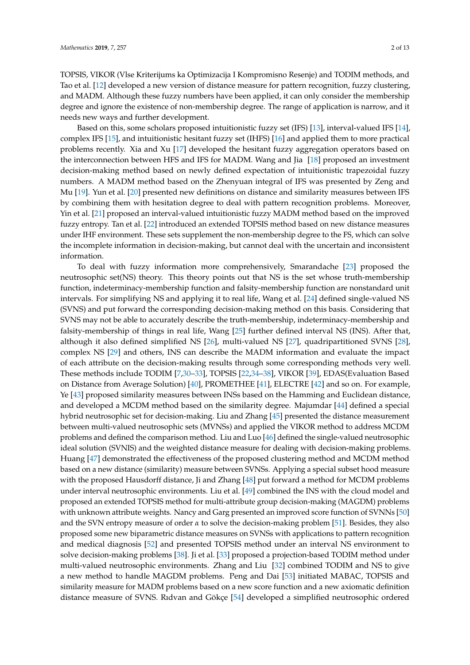TOPSIS, VIKOR (Vlse Kriterijums ka Optimizacija I Kompromisno Resenje) and TODIM methods, and Tao et al. [\[12\]](#page-10-11) developed a new version of distance measure for pattern recognition, fuzzy clustering, and MADM. Although these fuzzy numbers have been applied, it can only consider the membership degree and ignore the existence of non-membership degree. The range of application is narrow, and it needs new ways and further development.

Based on this, some scholars proposed intuitionistic fuzzy set (IFS) [\[13\]](#page-10-12), interval-valued IFS [\[14\]](#page-10-13), complex IFS [\[15\]](#page-10-14), and intuitionistic hesitant fuzzy set (IHFS) [\[16\]](#page-10-15) and applied them to more practical problems recently. Xia and Xu [\[17\]](#page-11-0) developed the hesitant fuzzy aggregation operators based on the interconnection between HFS and IFS for MADM. Wang and Jia [\[18\]](#page-11-1) proposed an investment decision-making method based on newly defined expectation of intuitionistic trapezoidal fuzzy numbers. A MADM method based on the Zhenyuan integral of IFS was presented by Zeng and Mu [\[19\]](#page-11-2). Yun et al. [\[20\]](#page-11-3) presented new definitions on distance and similarity measures between IFS by combining them with hesitation degree to deal with pattern recognition problems. Moreover, Yin et al. [\[21\]](#page-11-4) proposed an interval-valued intuitionistic fuzzy MADM method based on the improved fuzzy entropy. Tan et al. [\[22\]](#page-11-5) introduced an extended TOPSIS method based on new distance measures under IHF environment. These sets supplement the non-membership degree to the FS, which can solve the incomplete information in decision-making, but cannot deal with the uncertain and inconsistent information.

To deal with fuzzy information more comprehensively, Smarandache [\[23\]](#page-11-6) proposed the neutrosophic set(NS) theory. This theory points out that NS is the set whose truth-membership function, indeterminacy-membership function and falsity-membership function are nonstandard unit intervals. For simplifying NS and applying it to real life, Wang et al. [\[24\]](#page-11-7) defined single-valued NS (SVNS) and put forward the corresponding decision-making method on this basis. Considering that SVNS may not be able to accurately describe the truth-membership, indeterminacy-membership and falsity-membership of things in real life, Wang [\[25\]](#page-11-8) further defined interval NS (INS). After that, although it also defined simplified NS [\[26\]](#page-11-9), multi-valued NS [\[27\]](#page-11-10), quadripartitioned SVNS [\[28\]](#page-11-11), complex NS [\[29\]](#page-11-12) and others, INS can describe the MADM information and evaluate the impact of each attribute on the decision-making results through some corresponding methods very well. These methods include TODIM [\[7](#page-10-6)[,30–](#page-11-13)[33\]](#page-11-14), TOPSIS [\[22](#page-11-5)[,34](#page-11-15)[–38\]](#page-11-16), VIKOR [\[39\]](#page-11-17), EDAS(Evaluation Based on Distance from Average Solution) [\[40\]](#page-11-18), PROMETHEE [\[41\]](#page-11-19), ELECTRE [\[42\]](#page-11-20) and so on. For example, Ye [\[43\]](#page-11-21) proposed similarity measures between INSs based on the Hamming and Euclidean distance, and developed a MCDM method based on the similarity degree. Majumdar [\[44\]](#page-12-0) defined a special hybrid neutrosophic set for decision-making. Liu and Zhang [\[45\]](#page-12-1) presented the distance measurement between multi-valued neutrosophic sets (MVNSs) and applied the VIKOR method to address MCDM problems and defined the comparison method. Liu and Luo [\[46\]](#page-12-2) defined the single-valued neutrosophic ideal solution (SVNIS) and the weighted distance measure for dealing with decision-making problems. Huang [\[47\]](#page-12-3) demonstrated the effectiveness of the proposed clustering method and MCDM method based on a new distance (similarity) measure between SVNSs. Applying a special subset hood measure with the proposed Hausdorff distance, Ji and Zhang [\[48\]](#page-12-4) put forward a method for MCDM problems under interval neutrosophic environments. Liu et al. [\[49\]](#page-12-5) combined the INS with the cloud model and proposed an extended TOPSIS method for multi-attribute group decision-making (MAGDM) problems with unknown attribute weights. Nancy and Garg presented an improved score function of SVNNs [\[50\]](#page-12-6) and the SVN entropy measure of order *α* to solve the decision-making problem [\[51\]](#page-12-7). Besides, they also proposed some new biparametric distance measures on SVNSs with applications to pattern recognition and medical diagnosis [\[52\]](#page-12-8) and presented TOPSIS method under an interval NS environment to solve decision-making problems [\[38\]](#page-11-16). Ji et al. [\[33\]](#page-11-14) proposed a projection-based TODIM method under multi-valued neutrosophic environments. Zhang and Liu [\[32\]](#page-11-22) combined TODIM and NS to give a new method to handle MAGDM problems. Peng and Dai [\[53\]](#page-12-9) initiated MABAC, TOPSIS and similarity measure for MADM problems based on a new score function and a new axiomatic definition distance measure of SVNS. Rıdvan and Gökçe [\[54\]](#page-12-10) developed a simplified neutrosophic ordered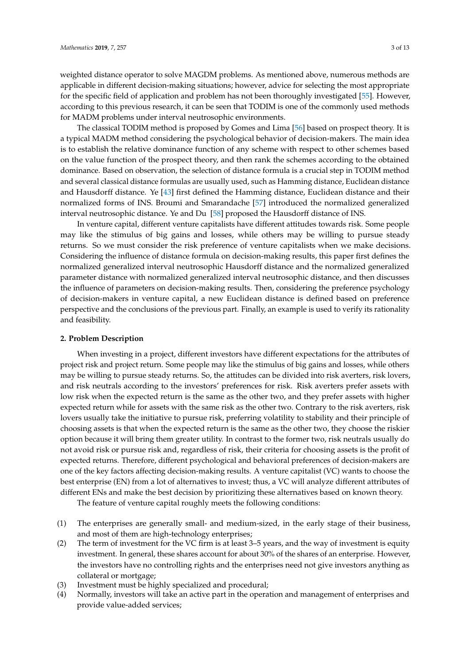weighted distance operator to solve MAGDM problems. As mentioned above, numerous methods are applicable in different decision-making situations; however, advice for selecting the most appropriate for the specific field of application and problem has not been thoroughly investigated [\[55\]](#page-12-11). However, according to this previous research, it can be seen that TODIM is one of the commonly used methods for MADM problems under interval neutrosophic environments.

The classical TODIM method is proposed by Gomes and Lima [\[56\]](#page-12-12) based on prospect theory. It is a typical MADM method considering the psychological behavior of decision-makers. The main idea is to establish the relative dominance function of any scheme with respect to other schemes based on the value function of the prospect theory, and then rank the schemes according to the obtained dominance. Based on observation, the selection of distance formula is a crucial step in TODIM method and several classical distance formulas are usually used, such as Hamming distance, Euclidean distance and Hausdorff distance. Ye [\[43\]](#page-11-21) first defined the Hamming distance, Euclidean distance and their normalized forms of INS. Broumi and Smarandache [\[57\]](#page-12-13) introduced the normalized generalized interval neutrosophic distance. Ye and Du [\[58\]](#page-12-14) proposed the Hausdorff distance of INS.

In venture capital, different venture capitalists have different attitudes towards risk. Some people may like the stimulus of big gains and losses, while others may be willing to pursue steady returns. So we must consider the risk preference of venture capitalists when we make decisions. Considering the influence of distance formula on decision-making results, this paper first defines the normalized generalized interval neutrosophic Hausdorff distance and the normalized generalized parameter distance with normalized generalized interval neutrosophic distance, and then discusses the influence of parameters on decision-making results. Then, considering the preference psychology of decision-makers in venture capital, a new Euclidean distance is defined based on preference perspective and the conclusions of the previous part. Finally, an example is used to verify its rationality and feasibility.

#### <span id="page-2-0"></span>**2. Problem Description**

When investing in a project, different investors have different expectations for the attributes of project risk and project return. Some people may like the stimulus of big gains and losses, while others may be willing to pursue steady returns. So, the attitudes can be divided into risk averters, risk lovers, and risk neutrals according to the investors' preferences for risk. Risk averters prefer assets with low risk when the expected return is the same as the other two, and they prefer assets with higher expected return while for assets with the same risk as the other two. Contrary to the risk averters, risk lovers usually take the initiative to pursue risk, preferring volatility to stability and their principle of choosing assets is that when the expected return is the same as the other two, they choose the riskier option because it will bring them greater utility. In contrast to the former two, risk neutrals usually do not avoid risk or pursue risk and, regardless of risk, their criteria for choosing assets is the profit of expected returns. Therefore, different psychological and behavioral preferences of decision-makers are one of the key factors affecting decision-making results. A venture capitalist (VC) wants to choose the best enterprise (EN) from a lot of alternatives to invest; thus, a VC will analyze different attributes of different ENs and make the best decision by prioritizing these alternatives based on known theory.

The feature of venture capital roughly meets the following conditions:

- (1) The enterprises are generally small- and medium-sized, in the early stage of their business, and most of them are high-technology enterprises;
- (2) The term of investment for the VC firm is at least 3–5 years, and the way of investment is equity investment. In general, these shares account for about 30% of the shares of an enterprise. However, the investors have no controlling rights and the enterprises need not give investors anything as collateral or mortgage;
- (3) Investment must be highly specialized and procedural;
- (4) Normally, investors will take an active part in the operation and management of enterprises and provide value-added services;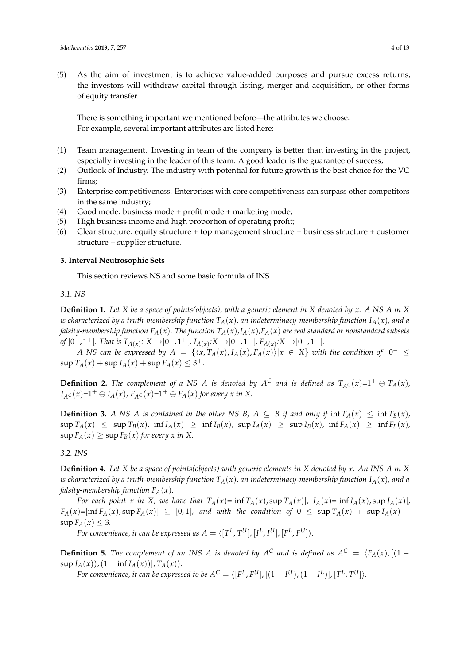(5) As the aim of investment is to achieve value-added purposes and pursue excess returns, the investors will withdraw capital through listing, merger and acquisition, or other forms of equity transfer.

There is something important we mentioned before—the attributes we choose. For example, several important attributes are listed here:

- (1) Team management. Investing in team of the company is better than investing in the project, especially investing in the leader of this team. A good leader is the guarantee of success;
- (2) Outlook of Industry. The industry with potential for future growth is the best choice for the VC firms;
- (3) Enterprise competitiveness. Enterprises with core competitiveness can surpass other competitors in the same industry;
- (4) Good mode: business mode + profit mode + marketing mode;
- (5) High business income and high proportion of operating profit;
- (6) Clear structure: equity structure + top management structure + business structure + customer structure + supplier structure.

## **3. Interval Neutrosophic Sets**

This section reviews NS and some basic formula of INS.

## *3.1. NS*

**Definition 1.** *Let X be a space of points(objects), with a generic element in X denoted by x. A NS A in X is characterized by a truth-membership function*  $T_A(x)$ *, an indeterminacy-membership function*  $I_A(x)$ *, and a falsity-membership function*  $F_A(x)$ *. The function*  $T_A(x)$ *,* $I_A(x)$ *,* $F_A(x)$  *are real standard or nonstandard subsets*  $\sigma$ *f* ] $0^-$ ,  $1^+$ [*, That is*  $T_{A(x)}$ :  $X \rightarrow ]0^-$ ,  $1^+$ [*, I<sub>A(x)</sub>*: $X \rightarrow ]0^-$ ,  $1^+$ [*, F<sub>A(x)</sub>*: $X \rightarrow ]0^-$ ,  $1^+$ [*.* 

*A NS* can be expressed by  $A = \{ \langle x, T_A(x), I_A(x), F_A(x) \rangle | x \in X \}$  with the condition of  $0^- \leq$  $\sup T_A(x) + \sup I_A(x) + \sup F_A(x) \leq 3^+.$ 

**Definition 2.** The complement of a NS A is denoted by  $A^C$  and is defined as  $T_{A^C}(x)=1^+ \oplus T_A(x)$ ,  $I_{A}c(x)=1^+ \ominus I_A(x)$ ,  $F_{A}c(x)=1^+ \ominus F_A(x)$  for every x in X.

**Definition 3.** *A NS A is contained in the other NS B*, *A*  $\subseteq$  *B if and only if*  $\inf T_A(x) \leq \inf T_B(x)$ *,*  $\sup T_A(x) \leq \sup T_B(x)$ ,  $\inf I_A(x) \geq \inf I_B(x)$ ,  $\sup I_A(x) \geq \sup I_B(x)$ ,  $\inf F_A(x) \geq \inf F_B(x)$ ,  $\sup F_A(x) \geq \sup F_B(x)$  *for every x in X.* 

*3.2. INS*

**Definition 4.** *Let X be a space of points(objects) with generic elements in X denoted by x. An INS A in X is characterized by a truth-membership function*  $T_A(x)$ *, an indeterminacy-membership function*  $I_A(x)$ *, and a falsity-membership function*  $F_A(x)$ *.* 

For each point x in X, we have that  $T_A(x) = [\inf T_A(x), \sup T_A(x)]$ ,  $I_A(x) = [\inf I_A(x), \sup I_A(x)]$ ,  $F_A(x) = [\inf F_A(x), \sup F_A(x)] \subseteq [0,1]$ , and with the condition of  $0 \leq \sup T_A(x) + \sup I_A(x) +$  $\sup F_A(x) \leq 3$ .

*For convenience, it can be expressed as*  $A = \langle [T^L,T^U] , [I^L,I^U] , [F^L,F^U] \rangle.$ 

**Definition 5.** The complement of an INS A is denoted by  $A^C$  and is defined as  $A^C = \langle F_A(x), [(1 - \frac{1}{2})^2] \rangle$  $\sup I_A(x)$ ,  $(1 - \inf I_A(x))$ ,  $T_A(x)$ .

*For convenience, it can be expressed to be*  $A^C = \langle [F^L,F^U]$ *,*  $[(1-I^U),(1-I^L)]$ *,*  $[T^L,T^U] \rangle$ *.*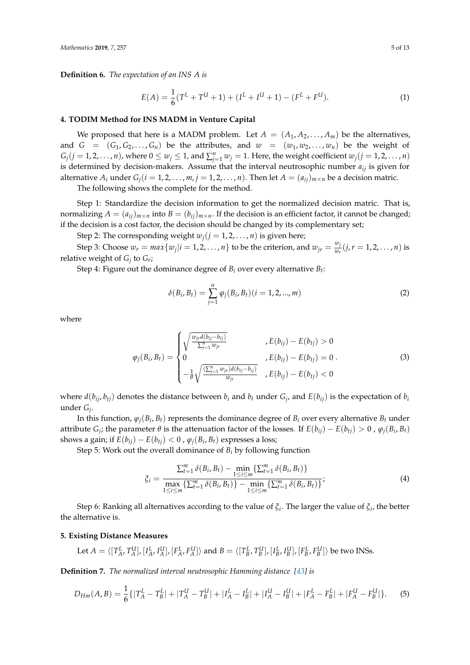**Definition 6.** *The expectation of an INS A is*

$$
E(A) = \frac{1}{6}(T^{L} + T^{U} + 1) + (I^{L} + I^{U} + 1) - (F^{L} + F^{U}).
$$
\n(1)

#### **4. TODIM Method for INS MADM in Venture Capital**

We proposed that here is a MADM problem. Let  $A = (A_1, A_2, \ldots, A_m)$  be the alternatives, and  $G = (G_1, G_2, \ldots, G_n)$  be the attributes, and  $w = (w_1, w_2, \ldots, w_n)$  be the weight of  $G_j$   $(j = 1, 2, \ldots, n)$ , where  $0 \le w_j \le 1$ , and  $\sum_{j=1}^n w_j = 1$ . Here, the weight coefficient  $w_j$   $(j = 1, 2, \ldots, n)$ is determined by decision-makers. Assume that the interval neutrosophic number *aij* is given for alternative  $A_i$  under  $G_i$  ( $i = 1, 2, ..., m$ ,  $j = 1, 2, ..., n$ ). Then let  $A = (a_{ij})_{m \times n}$  be a decision matric. The following shows the complete for the method.

Step 1: Standardize the decision information to get the normalized decision matric. That is, normalizing  $A = (a_{ij})_{m \times n}$  into  $B = (b_{ij})_{m \times n}$ . If the decision is an efficient factor, it cannot be changed; if the decision is a cost factor, the decision should be changed by its complementary set;

Step 2: The corresponding weight  $w_j$  ( $j = 1, 2, ..., n$ ) is given here;

Step 3: Choose  $w_r = max\{w_j | i = 1, 2, ..., n\}$  to be the criterion, and  $w_{jr} = \frac{w_j}{w_r}$  $\frac{w_j}{w_r}(j, r = 1, 2, ..., n)$  is relative weight of *G<sup>j</sup>* to *G<sup>r</sup>* ;

Step 4: Figure out the dominance degree of *B<sup>i</sup>* over every alternative *B<sup>t</sup>* :

$$
\delta(B_i, B_t) = \sum_{j=1}^n \varphi_j(B_i, B_t) (i = 1, 2, ..., m)
$$
 (2)

where

$$
\varphi_j(B_i, B_t) = \begin{cases}\n\sqrt{\frac{w_{j\dot{r}}d(b_{ij} - b_{t\dot{j}})}{\sum_{j=1}^n w_{j\dot{r}}}}, & E(b_{ij}) - E(b_{t\dot{j}}) > 0 \\
0 & E(b_{ij}) - E(b_{t\dot{j}}) = 0 \\
-\frac{1}{\theta}\sqrt{\frac{(\sum_{j=1}^n w_{j\dot{r}})d(b_{t\dot{j}} - b_{t\dot{j}})}{w_{j\dot{r}}}}, & E(b_{ij}) - E(b_{t\dot{j}}) < 0\n\end{cases}
$$
\n(3)

where  $d(b_{ij}, b_{tj})$  denotes the distance between  $b_i$  and  $b_t$  under  $G_j$ , and  $E(b_{ij})$  is the expectation of  $b_i$ under *G<sup>j</sup>* .

In this function,  $\varphi_j(B_i,B_t)$  represents the dominance degree of  $B_i$  over every alternative  $B_t$  under attribute *G*<sub>*j*</sub>; the parameter  $\theta$  is the attenuation factor of the losses. If  $E(b_{ij}) - E(b_{tj}) > 0$  ,  $\varphi_j(B_i, B_t)$ shows a gain; if  $E(b_{ij}) - E(b_{tj}) < 0$  ,  $\varphi_j(B_i, B_t)$  expresses a loss;

Step 5: Work out the overall dominance of *B<sup>i</sup>* by following function

$$
\xi_{i} = \frac{\sum_{t=1}^{m} \delta(B_{i}, B_{t}) - \min_{1 \leq i \leq m} \left\{ \sum_{t=1}^{m} \delta(B_{i}, B_{t}) \right\}}{\max_{1 \leq i \leq m} \left\{ \sum_{t=1}^{m} \delta(B_{i}, B_{t}) \right\} - \min_{1 \leq i \leq m} \left\{ \sum_{t=1}^{m} \delta(B_{i}, B_{t}) \right\}};
$$
\n(4)

Step 6: Ranking all alternatives according to the value of *ξ<sup>i</sup>* . The larger the value of *ξ<sup>i</sup>* , the better the alternative is.

#### **5. Existing Distance Measures**

Let 
$$
A = \langle [T_A^L, T_A^U], [I_A^L, I_A^U], [F_A^L, F_A^U] \rangle
$$
 and  $B = \langle [T_B^L, T_B^U], [I_B^L, I_B^U], [F_B^L, F_B^U] \rangle$  be two INSs.

**Definition 7.** *The normalized interval neutrosophic Hamming distance [\[43\]](#page-11-21) is*

$$
D_{Hm}(A,B) = \frac{1}{6} \{ |T_A^L - T_B^L| + |T_A^U - T_B^U| + |I_A^L - I_B^L| + |I_A^U - I_B^U| + |F_A^L - F_B^L| + |F_A^U - F_B^U| \}.
$$
 (5)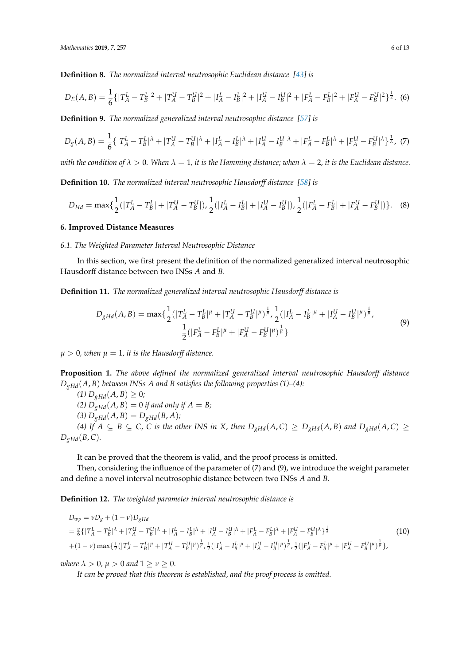**Definition 8.** *The normalized interval neutrosophic Euclidean distance [\[43\]](#page-11-21) is*

$$
D_E(A,B) = \frac{1}{6} \{ |T_A^L - T_B^L|^2 + |T_A^U - T_B^U|^2 + |I_A^L - I_B^L|^2 + |I_A^U - I_B^U|^2 + |F_A^L - F_B^L|^2 + |F_A^U - F_B^U|^2 \}^{\frac{1}{2}}.
$$
 (6)

**Definition 9.** *The normalized generalized interval neutrosophic distance [\[57\]](#page-12-13) is*

$$
D_g(A,B) = \frac{1}{6} \{ |T_A^L - T_B^L|^{\lambda} + |T_A^U - T_B^U|^{\lambda} + |I_A^L - I_B^L|^{\lambda} + |I_A^U - I_B^U|^{\lambda} + |F_A^L - F_B^L|^{\lambda} + |F_A^U - F_B^U|^{\lambda} \}^{\frac{1}{\lambda}},
$$
(7)

*with the condition of*  $\lambda > 0$ . When  $\lambda = 1$ , it is the Hamming distance; when  $\lambda = 2$ , it is the Euclidean distance.

**Definition 10.** *The normalized interval neutrosophic Hausdorff distance [\[58\]](#page-12-14) is*

$$
D_{Hd} = \max\{\frac{1}{2}(|T_A^L - T_B^L| + |T_A^U - T_B^U|), \frac{1}{2}(|I_A^L - I_B^L| + |I_A^U - I_B^U|), \frac{1}{2}(|F_A^L - F_B^L| + |F_A^U - F_B^U|)\}.
$$
 (8)

## **6. Improved Distance Measures**

# *6.1. The Weighted Parameter Interval Neutrosophic Distance*

In this section, we first present the definition of the normalized generalized interval neutrosophic Hausdorff distance between two INSs *A* and *B*.

**Definition 11.** *The normalized generalized interval neutrosophic Hausdorff distance is*

$$
D_{gHd}(A,B) = \max\{\frac{1}{2}(|T_A^L - T_B^L|^{\mu} + |T_A^U - T_B^U|^{\mu})^{\frac{1}{\mu}}, \frac{1}{2}(|I_A^L - I_B^L|^{\mu} + |I_A^U - I_B^U|^{\mu})^{\frac{1}{\mu}},
$$
  

$$
\frac{1}{2}(|F_A^L - F_B^L|^{\mu} + |F_A^U - F_B^U|^{\mu})^{\frac{1}{\mu}}\}
$$
(9)

 $\mu > 0$ , when  $\mu = 1$ , it is the Hausdorff distance.

**Proposition 1.** *The above defined the normalized generalized interval neutrosophic Hausdorff distance DgHd*(*A*, *B*) *between INSs A and B satisfies the following properties (1)–(4):*

*(1)*  $D_{gHd}(A, B) \geq 0$ *; (2)*  $D_{gHd}(A, B) = 0$  *if and only if*  $A = B$ ; (3)  $D_{gHd}(A, B) = D_{gHd}(B, A)$ ; (4) If  $A \subseteq B \subseteq C$ , C is the other INS in X, then  $D_{gHd}(A, C) \geq D_{gHd}(A, B)$  and  $D_{gHd}(A, C) \geq$  $D_{\varrho Hd}(B, C)$ *.* 

It can be proved that the theorem is valid, and the proof process is omitted.

Then, considering the influence of the parameter of (7) and (9), we introduce the weight parameter and define a novel interval neutrosophic distance between two INSs *A* and *B*.

**Definition 12.** *The weighted parameter interval neutrosophic distance is*

$$
D_{wp} = vD_g + (1 - v)D_{gHd}
$$
  
=  $\frac{v}{6}\{ [T_A^L - T_B^L]^{\lambda} + |T_A^U - T_B^U|^{\lambda} + |I_A^L - I_B^L|^{\lambda} + |I_A^U - I_B^U|^{\lambda} + |F_A^L - F_B^L|^{\lambda} + |F_A^U - F_B^U|^{\lambda} \}^{\frac{1}{\lambda}}$   
+  $(1 - v) \max\{\frac{1}{2}(|T_A^L - T_B^L|^{\mu} + |T_A^U - T_B^U|^{\mu})^{\frac{1}{\mu}}, \frac{1}{2}(|I_A^L - I_B^L|^{\mu} + |I_A^U - I_B^U|^{\mu})^{\frac{1}{\mu}}, \frac{1}{2}(|F_A^L - F_B^L|^{\mu} + |F_A^U - F_B^U|^{\mu})^{\frac{1}{\mu}} \},$ \n(10)

*where*  $\lambda > 0$ *,*  $\mu > 0$  *and*  $1 \ge \nu \ge 0$ *.* 

*It can be proved that this theorem is established, and the proof process is omitted.*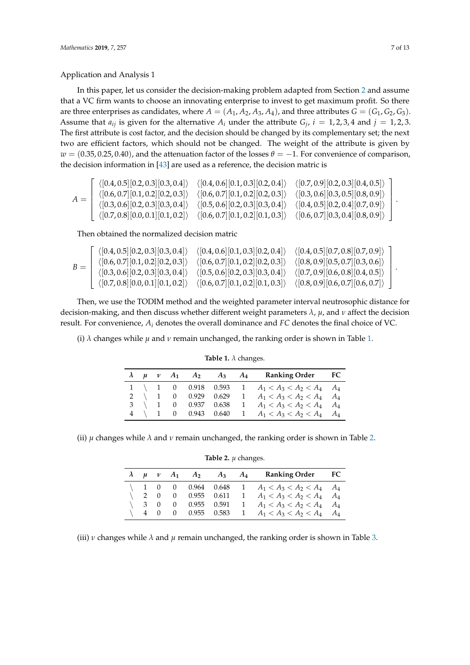Application and Analysis 1

In this paper, let us consider the decision-making problem adapted from Section [2](#page-2-0) and assume that a VC firm wants to choose an innovating enterprise to invest to get maximum profit. So there are three enterprises as candidates, where  $A = (A_1, A_2, A_3, A_4)$ , and three attributes  $G = (G_1, G_2, G_3)$ . Assume that  $a_{ij}$  is given for the alternative  $A_i$  under the attribute  $G_j$ ,  $i = 1, 2, 3, 4$  and  $j = 1, 2, 3$ . The first attribute is cost factor, and the decision should be changed by its complementary set; the next two are efficient factors, which should not be changed. The weight of the attribute is given by  $w = (0.35, 0.25, 0.40)$ , and the attenuation factor of the losses  $\theta = -1$ . For convenience of comparison, the decision information in [\[43\]](#page-11-21) are used as a reference, the decision matric is

$$
A = \begin{bmatrix} \langle [0.4, 0.5][0.2, 0.3][0.3, 0.4] \rangle & \langle [0.4, 0.6][0.1, 0.3][0.2, 0.4] \rangle & \langle [0.7, 0.9][0.2, 0.3][0.4, 0.5] \rangle \\ \langle [0.6, 0.7][0.1, 0.2][0.2, 0.3] \rangle & \langle [0.6, 0.7][0.1, 0.2][0.2, 0.3] \rangle & \langle [0.3, 0.6][0.3, 0.5][0.8, 0.9] \rangle \\ \langle [0.3, 0.6][0.2, 0.3][0.3, 0.4] \rangle & \langle [0.5, 0.6][0.2, 0.3][0.3, 0.4] \rangle & \langle [0.4, 0.5][0.2, 0.4][0.7, 0.9] \rangle \\ \langle [0.7, 0.8][0.0, 0.1][0.1, 0.2] \rangle & \langle [0.6, 0.7][0.1, 0.2][0.1, 0.3] \rangle & \langle [0.6, 0.7][0.3, 0.4][0.8, 0.9] \rangle \end{bmatrix}.
$$

Then obtained the normalized decision matric

$$
B = \left[\begin{array}{cccc} \langle [0.4, 0.5] [0.2, 0.3] [0.3, 0.4] \rangle & \langle [0.4, 0.6] [0.1, 0.3] [0.2, 0.4] \rangle & \langle [0.4, 0.5] [0.7, 0.8] [0.7, 0.9] \rangle \\ \langle [0.6, 0.7] [0.1, 0.2] [0.2, 0.3] \rangle & \langle [0.6, 0.7] [0.1, 0.2] [0.2, 0.3] \rangle & \langle [0.8, 0.9] [0.5, 0.7] [0.3, 0.6] \rangle \\ \langle [0.3, 0.6] [0.2, 0.3] [0.3, 0.4] \rangle & \langle [0.5, 0.6] [0.2, 0.3] [0.3, 0.4] \rangle & \langle [0.7, 0.9] [0.6, 0.8] [0.4, 0.5] \rangle \\ \langle [0.7, 0.8] [0.0, 0.1] [0.1, 0.2] \rangle & \langle [0.6, 0.7] [0.1, 0.2] [0.1, 0.3] \rangle & \langle [0.8, 0.9] [0.6, 0.7] [0.6, 0.7] \rangle \end{array}\right].
$$

Then, we use the TODIM method and the weighted parameter interval neutrosophic distance for decision-making, and then discuss whether different weight parameters *λ*, *µ*, and *ν* affect the decision result. For convenience, *A<sup>i</sup>* denotes the overall dominance and *FC* denotes the final choice of VC.

<span id="page-6-0"></span>(i)  $\lambda$  changes while  $\mu$  and  $\nu$  remain unchanged, the ranking order is shown in Table [1.](#page-6-0)

|  |  |  | $\lambda$ $\mu$ $\nu$ $A_1$ $A_2$ $A_3$ $A_4$ Ranking Order FC |  |
|--|--|--|----------------------------------------------------------------|--|
|  |  |  | 1 \ 1 0 0.918 0.593 1 $A_1 < A_3 < A_2 < A_4$ $A_4$            |  |
|  |  |  | 2 \ 1 0 0.929 0.629 1 $A_1 < A_3 < A_2 < A_4$ $A_4$            |  |
|  |  |  | 3 \ 1 0 0.937 0.638 1 $A_1 < A_3 < A_2 < A_4$ $A_4$            |  |
|  |  |  | 4 \ 1 0 0.943 0.640 1 $A_1 < A_3 < A_2 < A_4$ $A_4$            |  |

**Table 1.** *λ* changes.

<span id="page-6-1"></span>(ii)  $\mu$  changes while  $\lambda$  and  $\nu$  remain unchanged, the ranking order is shown in Table [2.](#page-6-1)

**Table 2.**  $\mu$  changes.

|  |  |  | $\lambda$ $\mu$ $\nu$ $A_1$ $A_2$ $A_3$ $A_4$ Ranking Order FC                                                             |  |
|--|--|--|----------------------------------------------------------------------------------------------------------------------------|--|
|  |  |  | \ 1 0 0 0.964 0.648 1 $A_1 < A_3 < A_2 < A_4$ $A_4$                                                                        |  |
|  |  |  | \, 2 \, 0 \, 0.955 \, 0.611 \, 1 \, A <sub>1</sub> \, A <sub>3</sub> \, A <sub>2</sub> \, A <sub>4</sub> \, A <sub>4</sub> |  |
|  |  |  | \ 3 0 0 0.955 0.591 1 $A_1 < A_3 < A_2 < A_4$ $A_4$                                                                        |  |
|  |  |  | \, 4 \, 0 \, 0 \, 0.955 \, 0.583 \, 1 \, $A_1 < A_3 < A_2 < A_4$ \, $A_4$                                                  |  |

(iii) *ν* changes while *λ* and *µ* remain unchanged, the ranking order is shown in Table [3.](#page-7-0)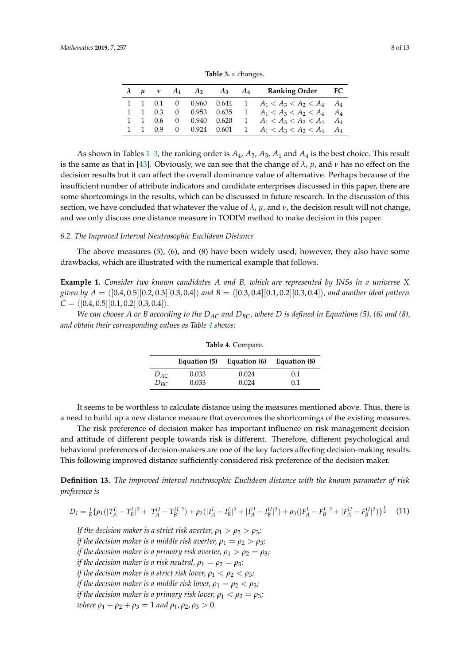<span id="page-7-0"></span>

| <b>Table 3.</b> $\nu$ changes. |  |  |  |  |  |                                                                |  |  |  |  |  |  |
|--------------------------------|--|--|--|--|--|----------------------------------------------------------------|--|--|--|--|--|--|
|                                |  |  |  |  |  | $\lambda$ $\mu$ $\nu$ $A_1$ $A_2$ $A_3$ $A_4$ Ranking Order FC |  |  |  |  |  |  |
|                                |  |  |  |  |  | 1 1 0.1 0 0.960 0.644 1 $A_1 < A_3 < A_2 < A_4$ $A_4$          |  |  |  |  |  |  |
|                                |  |  |  |  |  | 1 1 0.3 0 0.953 0.635 1 $A_1 < A_3 < A_2 < A_4$ $A_4$          |  |  |  |  |  |  |
|                                |  |  |  |  |  | 1 1 0.6 0 0.940 0.620 1 $A_1 < A_3 < A_2 < A_4$ $A_4$          |  |  |  |  |  |  |

 $A_1 < A_3 < A_2 < A_4$   $A_4$ 

1 1 0.6 0 0.940 0.620 1  $A_1 < A_3 < A_2 < A_4$   $A_4$ <br>1 1 0.9 0 0.924 0.601 1  $A_1 < A_2 < A_3 < A_4$   $A_4$ 

As shown in Tables [1–](#page-6-0)[3,](#page-7-0) the ranking order is *A*4, *A*2, *A*3, *A*<sup>1</sup> and *A*<sup>4</sup> is the best choice. This result is the same as that in [\[43\]](#page-11-21). Obviously, we can see that the change of *λ*, *µ*, and *ν* has no effect on the decision results but it can affect the overall dominance value of alternative. Perhaps because of the insufficient number of attribute indicators and candidate enterprises discussed in this paper, there are some shortcomings in the results, which can be discussed in future research. In the discussion of this section, we have concluded that whatever the value of  $\lambda$ ,  $\mu$ , and  $\nu$ , the decision result will not change, and we only discuss one distance measure in TODIM method to make decision in this paper.

#### *6.2. The Improved Interval Neutrosophic Euclidean Distance*

The above measures (5), (6), and (8) have been widely used; however, they also have some drawbacks, which are illustrated with the numerical example that follows.

**Example 1.** *Consider two known candidates A and B, which are represented by INSs in a universe X given by*  $A = \{[0.4, 0.5][0.2, 0.3][0.3, 0.4]\}$  *and*  $B = \{[0.3, 0.4][0.1, 0.2][0.3, 0.4]\}$ *, and another ideal pattern*  $C = \langle [0.4, 0.5][0.1, 0.2][0.3, 0.4]\rangle.$ 

<span id="page-7-1"></span>*We can choose A or B according to the DAC and DBC, where D is defined in Equations (5), (6) and (8), and obtain their corresponding values as Table [4](#page-7-1) shows:*

|          | Equation (5) | Equation (6) | Equation (8) |
|----------|--------------|--------------|--------------|
| $D_{AC}$ | 0.033        | 0.024        | 0.1          |
| $D_{B}c$ | 0.033        | 0.024        | 0.1          |

**Table 4.** Compare.

It seems to be worthless to calculate distance using the measures mentioned above. Thus, there is a need to build up a new distance measure that overcomes the shortcomings of the existing measures.

The risk preference of decision maker has important influence on risk management decision and attitude of different people towards risk is different. Therefore, different psychological and behavioral preferences of decision-makers are one of the key factors affecting decision-making results. This following improved distance sufficiently considered risk preference of the decision maker.

**Definition 13.** *The improved interval neutrosophic Euclidean distance with the known parameter of risk preference is*

$$
D_I = \frac{1}{6} \{ \rho_1(|T_A^L - T_B^L|^2 + |T_A^U - T_B^U|^2) + \rho_2(|I_A^L - I_B^L|^2 + |I_A^U - I_B^U|^2) + \rho_3(|F_A^L - F_B^L|^2 + |F_A^U - F_B^U|^2) \}^{\frac{1}{2}} \tag{11}
$$

*If the decision maker is a strict risk averter,*  $\rho_1 > \rho_2 > \rho_3$ *; if the decision maker is a middle risk averter,*  $\rho_1 = \rho_2 > \rho_3$ *; if the decision maker is a primary risk averter,*  $\rho_1 > \rho_2 = \rho_3$ *; if the decision maker is a risk neutral,*  $\rho_1 = \rho_2 = \rho_3$ *; if the decision maker is a strict risk lover,*  $\rho_1 < \rho_2 < \rho_3$ *; if the decision maker is a middle risk lover,*  $\rho_1 = \rho_2 < \rho_3$ ; *if the decision maker is a primary risk lover,*  $\rho_1 < \rho_2 = \rho_3$ *; where*  $\rho_1 + \rho_2 + \rho_3 = 1$  *and*  $\rho_1$ ,  $\rho_2$ ,  $\rho_3 > 0$ .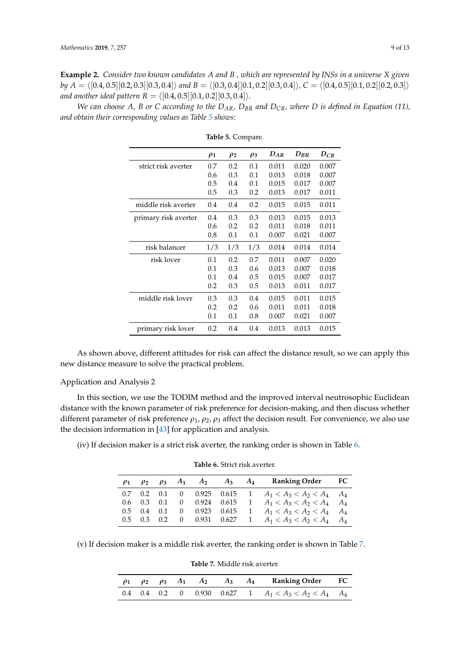**Example 2.** *Consider two known candidates A and B , which are represented by INSs in a universe X given by*  $A = \langle [0.4, 0.5][0.2, 0.3][0.3, 0.4] \rangle$  *and*  $B = \langle [0.3, 0.4][0.1, 0.2][0.3, 0.4] \rangle$ ,  $C = \langle [0.4, 0.5][0.1, 0.2][0.2, 0.3] \rangle$ *and another ideal pattern R* =  $\langle [0.4, 0.5][0.1, 0.2][0.3, 0.4]\rangle$ *.* 

<span id="page-8-0"></span>*We can choose A, B or C according to the DAR, DBR and DCR, where D is defined in Equation (11), and obtain their corresponding values as Table [5](#page-8-0) shows:*

|                      | $\rho_1$ | $\rho_2$ | $\rho_3$ | $D_{AR}$ | $D_{BR}$ | $D_{CR}$ |
|----------------------|----------|----------|----------|----------|----------|----------|
| strict risk averter  | 0.7      | 0.2      | 0.1      | 0.011    | 0.020    | 0.007    |
|                      | 0.6      | 0.3      | 0.1      | 0.013    | 0.018    | 0.007    |
|                      | 0.5      | 0.4      | 0.1      | 0.015    | 0.017    | 0.007    |
|                      | 0.5      | 0.3      | 0.2      | 0.013    | 0.017    | 0.011    |
| middle risk averter  | 0.4      | 0.4      | 0.2      | 0.015    | 0.015    | 0.011    |
| primary risk averter | 0.4      | 0.3      | 0.3      | 0.013    | 0.015    | 0.013    |
|                      | 0.6      | 0.2      | 0.2      | 0.011    | 0.018    | 0.011    |
|                      | 0.8      | 0.1      | 0.1      | 0.007    | 0.021    | 0.007    |
| risk balancer        | 1/3      | 1/3      | 1/3      | 0.014    | 0.014    | 0.014    |
| risk lover           | 0.1      | 0.2      | 0.7      | 0.011    | 0.007    | 0.020    |
|                      | 0.1      | 0.3      | 0.6      | 0.013    | 0.007    | 0.018    |
|                      | 0.1      | 0.4      | 0.5      | 0.015    | 0.007    | 0.017    |
|                      | 0.2      | 0.3      | 0.5      | 0.013    | 0.011    | 0.017    |
| middle risk lover    | 0.3      | 0.3      | 0.4      | 0.015    | 0.011    | 0.015    |
|                      | 0.2      | 0.2      | 0.6      | 0.011    | 0.011    | 0.018    |
|                      | 0.1      | 0.1      | 0.8      | 0.007    | 0.021    | 0.007    |
| primary risk lover   | 0.2      | 0.4      | 0.4      | 0.013    | 0.013    | 0.015    |

**Table 5.** Compare.

As shown above, different attitudes for risk can affect the distance result, so we can apply this new distance measure to solve the practical problem.

## Application and Analysis 2

In this section, we use the TODIM method and the improved interval neutrosophic Euclidean distance with the known parameter of risk preference for decision-making, and then discuss whether different parameter of risk preference *ρ*1, *ρ*2, *ρ*<sup>3</sup> affect the decision result. For convenience, we also use the decision information in [\[43\]](#page-11-21) for application and analysis.

<span id="page-8-1"></span>(iv) If decision maker is a strict risk averter, the ranking order is shown in Table [6.](#page-8-1)

| $\rho_1$ |                           |                   |  |  | $\rho_2$ $\rho_3$ $A_1$ $A_2$ $A_3$ $A_4$ Ranking Order FC |  |
|----------|---------------------------|-------------------|--|--|------------------------------------------------------------|--|
|          |                           |                   |  |  | 0.7 0.2 0.1 0 0.925 0.615 1 $A_1 < A_3 < A_2 < A_4$ $A_4$  |  |
|          |                           | $0.6$ $0.3$ $0.1$ |  |  | 0 0.924 0.615 1 $A_1 < A_3 < A_2 < A_4$ $A_4$              |  |
|          | $0.5 \quad 0.4 \quad 0.1$ |                   |  |  | 0 0.923 0.615 1 $A_1 < A_3 < A_2 < A_4$ $A_4$              |  |
|          |                           |                   |  |  | 0.5 0.3 0.2 0 0.931 0.627 1 $A_1 < A_3 < A_2 < A_4$ $A_4$  |  |

**Table 6.** Strict risk averter.

<span id="page-8-2"></span>(v) If decision maker is a middle risk averter, the ranking order is shown in Table [7.](#page-8-2)

**Table 7.** Middle risk averter.

|  |  |  | $\rho_1$ $\rho_2$ $\rho_3$ $A_1$ $A_2$ $A_3$ $A_4$ Ranking Order FC |  |
|--|--|--|---------------------------------------------------------------------|--|
|  |  |  | 0.4 0.4 0.2 0 0.930 0.627 1 $A_1 < A_3 < A_2 < A_4$ $A_4$           |  |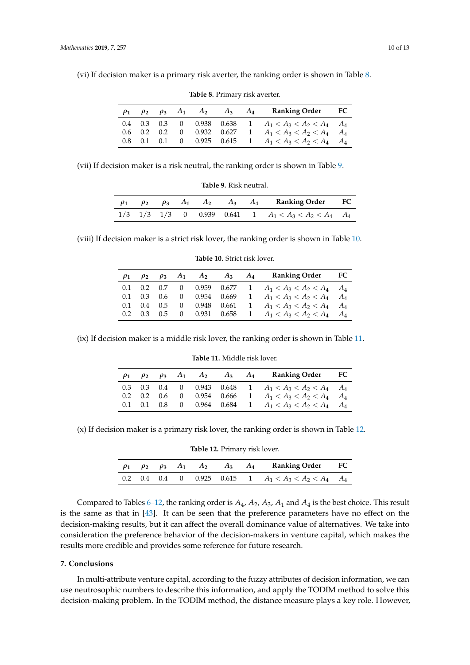<span id="page-9-0"></span>(vi) If decision maker is a primary risk averter, the ranking order is shown in Table [8.](#page-9-0)

| $\rho_1$ |  |  |  | $\rho_2$ $\rho_3$ $A_1$ $A_2$ $A_3$ $A_4$ Ranking Order FC |  |
|----------|--|--|--|------------------------------------------------------------|--|
|          |  |  |  | 0.4 0.3 0.3 0 0.938 0.638 1 $A_1 < A_3 < A_2 < A_4$ $A_4$  |  |
|          |  |  |  | 0.6 0.2 0.2 0 0.932 0.627 1 $A_1 < A_3 < A_2 < A_4$ $A_4$  |  |
|          |  |  |  | 0.8 0.1 0.1 0 0.925 0.615 1 $A_1 < A_3 < A_2 < A_4$ $A_4$  |  |

**Table 8.** Primary risk averter.

<span id="page-9-1"></span>(vii) If decision maker is a risk neutral, the ranking order is shown in Table [9.](#page-9-1)

|  |  |  | $\rho_1$ $\rho_2$ $\rho_3$ $A_1$ $A_2$ $A_3$ $A_4$ Ranking Order FC |  |
|--|--|--|---------------------------------------------------------------------|--|
|  |  |  | $1/3$ $1/3$ $1/3$ 0 0.939 0.641 1 $A_1 < A_3 < A_2 < A_4$ $A_4$     |  |

**Table 9.** Risk neutral.

<span id="page-9-2"></span>(viii) If decision maker is a strict risk lover, the ranking order is shown in Table [10.](#page-9-2)

| $\rho_1$ |  |  |  | $\rho_2$ $\rho_3$ $A_1$ $A_2$ $A_3$ $A_4$ Ranking Order FC |  |
|----------|--|--|--|------------------------------------------------------------|--|
|          |  |  |  | 0.1 0.2 0.7 0 0.959 0.677 1 $A_1 < A_3 < A_2 < A_4$ $A_4$  |  |
|          |  |  |  | 0.1 0.3 0.6 0 0.954 0.669 1 $A_1 < A_3 < A_2 < A_4$ $A_4$  |  |
|          |  |  |  | 0.1 0.4 0.5 0 0.948 0.661 1 $A_1 < A_3 < A_2 < A_4$ $A_4$  |  |
|          |  |  |  | 0.2 0.3 0.5 0 0.931 0.658 1 $A_1 < A_3 < A_2 < A_4$ $A_4$  |  |

**Table 10.** Strict risk lover.

<span id="page-9-3"></span>(ix) If decision maker is a middle risk lover, the ranking order is shown in Table [11.](#page-9-3)

|  |  | $\rho_1$ $\rho_2$ $\rho_3$ $A_1$ $A_2$ $A_3$ $A_4$ | <b>Ranking Order</b> FC                                   |  |
|--|--|----------------------------------------------------|-----------------------------------------------------------|--|
|  |  |                                                    | 0.3 0.3 0.4 0 0.943 0.648 1 $A_1 < A_3 < A_2 < A_4$ $A_4$ |  |
|  |  |                                                    | 0.2 0.2 0.6 0 0.954 0.666 1 $A_1 < A_3 < A_2 < A_4$ $A_4$ |  |
|  |  |                                                    | 0.1 0.1 0.8 0 0.964 0.684 1 $A_1 < A_3 < A_2 < A_4$ $A_4$ |  |

**Table 11.** Middle risk lover.

<span id="page-9-4"></span>(x) If decision maker is a primary risk lover, the ranking order is shown in Table [12.](#page-9-4)

**Table 12.** Primary risk lover.

|  |  |  | $\rho_1$ $\rho_2$ $\rho_3$ $A_1$ $A_2$ $A_3$ $A_4$ Ranking Order FC |  |
|--|--|--|---------------------------------------------------------------------|--|
|  |  |  | 0.2 0.4 0.4 0 0.925 0.615 1 $A_1 < A_3 < A_2 < A_4$ $A_4$           |  |

Compared to Tables [6–](#page-8-1)[12,](#page-9-4) the ranking order is *A*4, *A*2, *A*3, *A*<sup>1</sup> and *A*<sup>4</sup> is the best choice. This result is the same as that in [\[43\]](#page-11-21). It can be seen that the preference parameters have no effect on the decision-making results, but it can affect the overall dominance value of alternatives. We take into consideration the preference behavior of the decision-makers in venture capital, which makes the results more credible and provides some reference for future research.

## **7. Conclusions**

In multi-attribute venture capital, according to the fuzzy attributes of decision information, we can use neutrosophic numbers to describe this information, and apply the TODIM method to solve this decision-making problem. In the TODIM method, the distance measure plays a key role. However,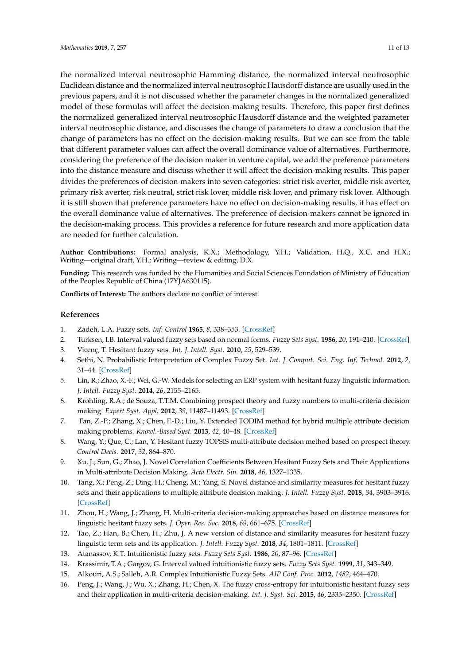the normalized interval neutrosophic Hamming distance, the normalized interval neutrosophic Euclidean distance and the normalized interval neutrosophic Hausdorff distance are usually used in the previous papers, and it is not discussed whether the parameter changes in the normalized generalized model of these formulas will affect the decision-making results. Therefore, this paper first defines the normalized generalized interval neutrosophic Hausdorff distance and the weighted parameter interval neutrosophic distance, and discusses the change of parameters to draw a conclusion that the change of parameters has no effect on the decision-making results. But we can see from the table that different parameter values can affect the overall dominance value of alternatives. Furthermore, considering the preference of the decision maker in venture capital, we add the preference parameters into the distance measure and discuss whether it will affect the decision-making results. This paper divides the preferences of decision-makers into seven categories: strict risk averter, middle risk averter, primary risk averter, risk neutral, strict risk lover, middle risk lover, and primary risk lover. Although it is still shown that preference parameters have no effect on decision-making results, it has effect on the overall dominance value of alternatives. The preference of decision-makers cannot be ignored in the decision-making process. This provides a reference for future research and more application data are needed for further calculation.

**Author Contributions:** Formal analysis, K.X.; Methodology, Y.H.; Validation, H.Q., X.C. and H.X.; Writing—original draft, Y.H.; Writing—review & editing, D.X.

**Funding:** This research was funded by the Humanities and Social Sciences Foundation of Ministry of Education of the Peoples Republic of China (17YJA630115).

**Conflicts of Interest:** The authors declare no conflict of interest.

# **References**

- <span id="page-10-0"></span>1. Zadeh, L.A. Fuzzy sets. *Inf. Control* **1965**, *8*, 338–353. [\[CrossRef\]](http://dx.doi.org/10.1016/S0019-9958(65)90241-X)
- <span id="page-10-1"></span>2. Turksen, I.B. Interval valued fuzzy sets based on normal forms. *Fuzzy Sets Syst.* **1986**, *20*, 191–210. [\[CrossRef\]](http://dx.doi.org/10.1016/0165-0114(86)90077-1)
- <span id="page-10-2"></span>3. Vicenç, T. Hesitant fuzzy sets. *Int. J. Intell. Syst.* **2010**, *25*, 529–539.
- <span id="page-10-3"></span>4. Sethi, N. Probabilistic Interpretation of Complex Fuzzy Set. *Int. J. Comput. Sci. Eng. Inf. Technol.* **2012**, *2*, 31–44. [\[CrossRef\]](http://dx.doi.org/10.5121/ijcseit.2012.2204)
- <span id="page-10-4"></span>5. Lin, R.; Zhao, X.-F.; Wei, G.-W. Models for selecting an ERP system with hesitant fuzzy linguistic information. *J. Intell. Fuzzy Syst.* **2014**, *26*, 2155–2165.
- <span id="page-10-5"></span>6. Krohling, R.A.; de Souza, T.T.M. Combining prospect theory and fuzzy numbers to multi-criteria decision making. *Expert Syst. Appl.* **2012**, *39*, 11487–11493. [\[CrossRef\]](http://dx.doi.org/10.1016/j.eswa.2012.04.006)
- <span id="page-10-6"></span>7. Fan, Z.-P.; Zhang, X.; Chen, F.-D.; Liu, Y. Extended TODIM method for hybrid multiple attribute decision making problems. *Knowl.-Based Syst.* **2013**, *42*, 40–48. [\[CrossRef\]](http://dx.doi.org/10.1016/j.knosys.2012.12.014)
- <span id="page-10-7"></span>8. Wang, Y.; Que, C.; Lan, Y. Hesitant fuzzy TOPSIS multi-attribute decision method based on prospect theory. *Control Decis.* **2017**, *32*, 864–870.
- <span id="page-10-8"></span>9. Xu, J.; Sun, G.; Zhao, J. Novel Correlation Coefficients Between Hesitant Fuzzy Sets and Their Applications in Multi-attribute Decision Making. *Acta Electr. Sin.* **2018**, *46*, 1327–1335.
- <span id="page-10-9"></span>10. Tang, X.; Peng, Z.; Ding, H.; Cheng, M.; Yang, S. Novel distance and similarity measures for hesitant fuzzy sets and their applications to multiple attribute decision making. *J. Intell. Fuzzy Syst.* **2018**, *34*, 3903–3916. [\[CrossRef\]](http://dx.doi.org/10.3233/JIFS-169561)
- <span id="page-10-10"></span>11. Zhou, H.; Wang, J.; Zhang, H. Multi-criteria decision-making approaches based on distance measures for linguistic hesitant fuzzy sets. *J. Oper. Res. Soc.* **2018**, *69*, 661–675. [\[CrossRef\]](http://dx.doi.org/10.1080/01605682.2017.1400780)
- <span id="page-10-11"></span>12. Tao, Z.; Han, B.; Chen, H.; Zhu, J. A new version of distance and similarity measures for hesitant fuzzy linguistic term sets and its application. *J. Intell. Fuzzy Syst.* **2018**, *34*, 1801–1811. [\[CrossRef\]](http://dx.doi.org/10.3233/JIFS-16381)
- <span id="page-10-12"></span>13. Atanassov, K.T. Intuitionistic fuzzy sets. *Fuzzy Sets Syst.* **1986**, *20*, 87–96. [\[CrossRef\]](http://dx.doi.org/10.1016/S0165-0114(86)80034-3)
- <span id="page-10-13"></span>14. Krassimir, T.A.; Gargov, G. Interval valued intuitionistic fuzzy sets. *Fuzzy Sets Syst.* **1999**, *31*, 343–349.
- <span id="page-10-14"></span>15. Alkouri, A.S.; Salleh, A.R. Complex Intuitionistic Fuzzy Sets. *AIP Conf. Proc.* **2012**, *1482*, 464–470.
- <span id="page-10-15"></span>16. Peng, J.; Wang, J.; Wu, X.; Zhang, H.; Chen, X. The fuzzy cross-entropy for intuitionistic hesitant fuzzy sets and their application in multi-criteria decision-making. *Int. J. Syst. Sci.* **2015**, *46*, 2335–2350. [\[CrossRef\]](http://dx.doi.org/10.1080/00207721.2014.993744)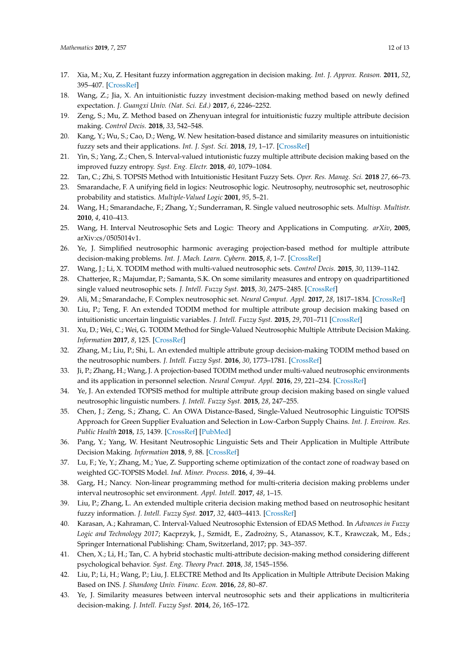- <span id="page-11-0"></span>17. Xia, M.; Xu, Z. Hesitant fuzzy information aggregation in decision making. *Int. J. Approx. Reason.* **2011**, *52*, 395–407. [\[CrossRef\]](http://dx.doi.org/10.1016/j.ijar.2010.09.002)
- <span id="page-11-1"></span>18. Wang, Z.; Jia, X. An intuitionistic fuzzy investment decision-making method based on newly defined expectation. *J. Guangxi Univ. (Nat. Sci. Ed.)* **2017**, *6*, 2246–2252.
- <span id="page-11-2"></span>19. Zeng, S.; Mu, Z. Method based on Zhenyuan integral for intuitionistic fuzzy multiple attribute decision making. *Control Decis.* **2018**, *33*, 542–548.
- <span id="page-11-3"></span>20. Kang, Y.; Wu, S.; Cao, D.; Weng, W. New hesitation-based distance and similarity measures on intuitionistic fuzzy sets and their applications. *Int. J. Syst. Sci.* **2018**, *19*, 1–17. [\[CrossRef\]](http://dx.doi.org/10.1080/00207721.2018.1424965)
- <span id="page-11-4"></span>21. Yin, S.; Yang, Z.; Chen, S. Interval-valued intutionistic fuzzy multiple attribute decision making based on the improved fuzzy entropy. *Syst. Eng. Electr.* **2018**, *40*, 1079–1084.
- <span id="page-11-5"></span>22. Tan, C.; Zhi, S. TOPSIS Method with Intuitionistic Hesitant Fuzzy Sets. *Oper. Res. Manag. Sci.* **2018** *27*, 66–73.
- <span id="page-11-6"></span>23. Smarandache, F. A unifying field in logics: Neutrosophic logic. Neutrosophy, neutrosophic set, neutrosophic probability and statistics. *Multiple-Valued Logic* **2001**, *95*, 5–21.
- <span id="page-11-7"></span>24. Wang, H.; Smarandache, F.; Zhang, Y.; Sunderraman, R. Single valued neutrosophic sets. *Multisp. Multistr.* **2010**, *4*, 410–413.
- <span id="page-11-8"></span>25. Wang, H. Interval Neutrosophic Sets and Logic: Theory and Applications in Computing. *arXiv*, **2005**, arXiv:cs/0505014v1.
- <span id="page-11-9"></span>26. Ye, J. Simplified neutrosophic harmonic averaging projection-based method for multiple attribute decision-making problems. *Int. J. Mach. Learn. Cybern.* **2015**, *8*, 1–7. [\[CrossRef\]](http://dx.doi.org/10.1007/s13042-015-0456-0)
- <span id="page-11-10"></span>27. Wang, J.; Li, X. TODIM method with multi-valued neutrosophic sets. *Control Decis.* **2015**, *30*, 1139–1142.
- <span id="page-11-11"></span>28. Chatterjee, R.; Majumdar, P.; Samanta, S.K. On some similarity measures and entropy on quadripartitioned single valued neutrosophic sets. *J. Intell. Fuzzy Syst.* **2015**, *30*, 2475–2485. [\[CrossRef\]](http://dx.doi.org/10.3233/IFS-152017)
- <span id="page-11-12"></span>29. Ali, M.; Smarandache, F. Complex neutrosophic set. *Neural Comput. Appl.* **2017**, *28*, 1817–1834. [\[CrossRef\]](http://dx.doi.org/10.1007/s00521-015-2154-y)
- <span id="page-11-13"></span>30. Liu, P.; Teng, F. An extended TODIM method for multiple attribute group decision making based on intuitionistic uncertain linguistic variables. *J. Intell. Fuzzy Syst.* **2015**, *29*, 701–711 [\[CrossRef\]](http://dx.doi.org/10.3233/IFS-141441)
- 31. Xu, D.; Wei, C.; Wei, G. TODIM Method for Single-Valued Neutrosophic Multiple Attribute Decision Making. *Information* **2017**, *8*, 125. [\[CrossRef\]](http://dx.doi.org/10.3390/info8040125)
- <span id="page-11-22"></span>32. Zhang, M.; Liu, P.; Shi, L. An extended multiple attribute group decision-making TODIM method based on the neutrosophic numbers. *J. Intell. Fuzzy Syst.* **2016**, *30*, 1773–1781. [\[CrossRef\]](http://dx.doi.org/10.3233/IFS-151889)
- <span id="page-11-14"></span>33. Ji, P.; Zhang, H.; Wang, J. A projection-based TODIM method under multi-valued neutrosophic environments and its application in personnel selection. *Neural Comput. Appl.* **2016**, *29*, 221–234. [\[CrossRef\]](http://dx.doi.org/10.1007/s00521-016-2436-z)
- <span id="page-11-15"></span>34. Ye, J. An extended TOPSIS method for multiple attribute group decision making based on single valued neutrosophic linguistic numbers. *J. Intell. Fuzzy Syst.* **2015**, *28*, 247–255.
- 35. Chen, J.; Zeng, S.; Zhang, C. An OWA Distance-Based, Single-Valued Neutrosophic Linguistic TOPSIS Approach for Green Supplier Evaluation and Selection in Low-Carbon Supply Chains. *Int. J. Environ. Res. Public Health* **2018**, *15*, 1439. [\[CrossRef\]](http://dx.doi.org/10.3390/ijerph15071439) [\[PubMed\]](http://www.ncbi.nlm.nih.gov/pubmed/29986549)
- 36. Pang, Y.; Yang, W. Hesitant Neutrosophic Linguistic Sets and Their Application in Multiple Attribute Decision Making. *Information* **2018**, *9*, 88. [\[CrossRef\]](http://dx.doi.org/10.3390/info9040088)
- 37. Lu, F.; Ye, Y.; Zhang, M.; Yue, Z. Supporting scheme optimization of the contact zone of roadway based on weighted GC-TOPSIS Model. *Ind. Miner. Process.* **2016**, *4*, 39–44.
- <span id="page-11-16"></span>38. Garg, H.; Nancy. Non-linear programming method for multi-criteria decision making problems under interval neutrosophic set environment. *Appl. Intell.* **2017**, *48*, 1–15.
- <span id="page-11-17"></span>39. Liu, P.; Zhang, L. An extended multiple criteria decision making method based on neutrosophic hesitant fuzzy information. *J. Intell. Fuzzy Syst.* **2017**, *32*, 4403–4413. [\[CrossRef\]](http://dx.doi.org/10.3233/JIFS-16136)
- <span id="page-11-18"></span>40. Karasan, A.; Kahraman, C. Interval-Valued Neutrosophic Extension of EDAS Method. In *Advances in Fuzzy Logic and Technology 2017*; Kacprzyk, J., Szmidt, E., Zadrozny, S., Atanassov, K.T., Krawczak, M., Eds.; ˙ Springer International Publishing: Cham, Switzerland, 2017; pp. 343–357.
- <span id="page-11-19"></span>41. Chen, X.; Li, H.; Tan, C. A hybrid stochastic multi-attribute decision-making method considering different psychological behavior. *Syst. Eng. Theory Pract.* **2018**, *38*, 1545–1556.
- <span id="page-11-20"></span>42. Liu, P.; Li, H.; Wang, P.; Liu, J. ELECTRE Method and Its Application in Multiple Attribute Decision Making Based on INS. *J. Shandong Univ. Financ. Econ.* **2016**, *28*, 80–87.
- <span id="page-11-21"></span>43. Ye, J. Similarity measures between interval neutrosophic sets and their applications in multicriteria decision-making. *J. Intell. Fuzzy Syst.* **2014**, *26*, 165–172.